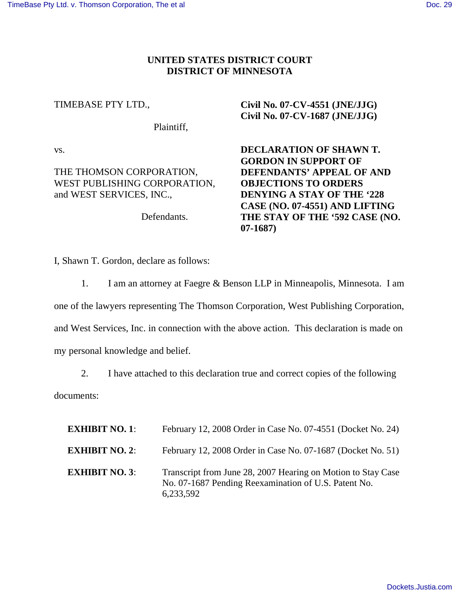#### **UNITED STATES DISTRICT COURT DISTRICT OF MINNESOTA**

#### TIMEBASE PTY LTD.,

Plaintiff,

vs.

## THE THOMSON CORPORATION, WEST PUBLISHING CORPORATION, and WEST SERVICES, INC.,

Defendants.

# **Civil No. 07-CV-4551 (JNE/JJG) Civil No. 07-CV-1687 (JNE/JJG)**

**DECLARATION OF SHAWN T. GORDON IN SUPPORT OF DEFENDANTS' APPEAL OF AND OBJECTIONS TO ORDERS DENYING A STAY OF THE '228 CASE (NO. 07-4551) AND LIFTING THE STAY OF THE '592 CASE (NO. 07-1687)**

I, Shawn T. Gordon, declare as follows:

1. I am an attorney at Faegre & Benson LLP in Minneapolis, Minnesota. I am one of the lawyers representing The Thomson Corporation, West Publishing Corporation, and West Services, Inc. in connection with the above action. This declaration is made on my personal knowledge and belief.

2. I have attached to this declaration true and correct copies of the following documents:

| <b>EXHIBIT NO. 1:</b> | February 12, 2008 Order in Case No. 07-4551 (Docket No. 24)                                                                       |
|-----------------------|-----------------------------------------------------------------------------------------------------------------------------------|
| <b>EXHIBIT NO. 2:</b> | February 12, 2008 Order in Case No. 07-1687 (Docket No. 51)                                                                       |
| <b>EXHIBIT NO. 3:</b> | Transcript from June 28, 2007 Hearing on Motion to Stay Case<br>No. 07-1687 Pending Reexamination of U.S. Patent No.<br>6,233,592 |